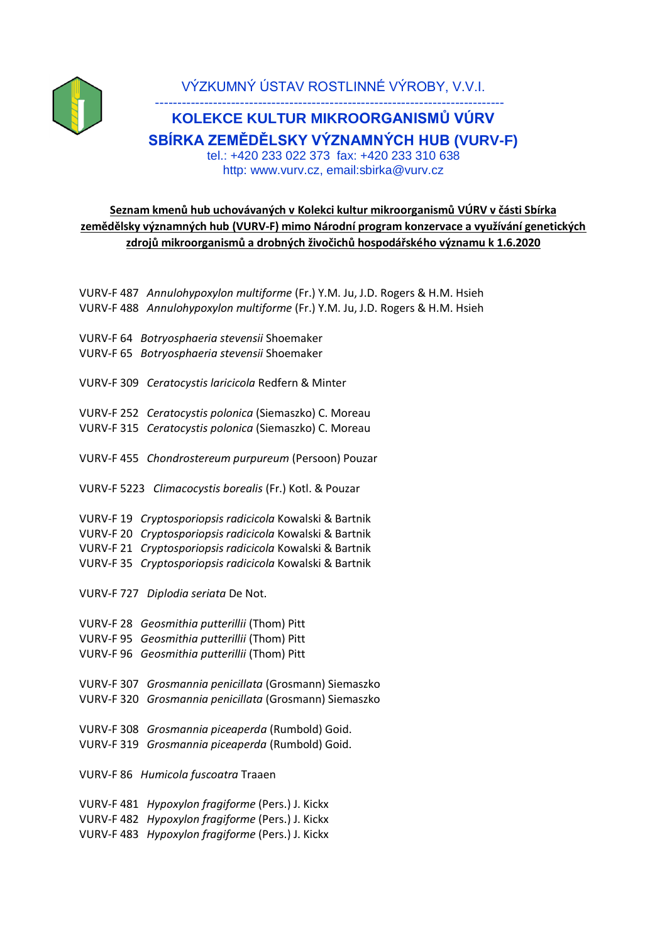

VÝZKUMNÝ ÚSTAV ROSTLINNÉ VÝROBY, V.V.I.

## ------------------------------------------------------------------------------ **KOLEKCE KULTUR MIKROORGANISMŮ VÚRV SBÍRKA ZEMĚDĚLSKY VÝZNAMNÝCH HUB (VURV-F)** tel.: +420 233 022 373 fax: +420 233 310 638 http: www.vurv.cz, email:sbirka@vurv.cz

## **Seznam kmenů hub uchovávaných v Kolekci kultur mikroorganismů VÚRV v části Sbírka zemědělsky významných hub (VURV-F) mimo Národní program konzervace a využívání genetických zdrojů mikroorganismů a drobných živočichů hospodářského významu k 1.6.2020**

VURV-F 487 *Annulohypoxylon multiforme* (Fr.) Y.M. Ju, J.D. Rogers & H.M. Hsieh VURV-F 488 *Annulohypoxylon multiforme* (Fr.) Y.M. Ju, J.D. Rogers & H.M. Hsieh

- VURV-F 64 *Botryosphaeria stevensii* Shoemaker
- VURV-F 65 *Botryosphaeria stevensii* Shoemaker

VURV-F 309 *Ceratocystis laricicola* Redfern & Minter

VURV-F 252 *Ceratocystis polonica* (Siemaszko) C. Moreau VURV-F 315 *Ceratocystis polonica* (Siemaszko) C. Moreau

VURV-F 455 *Chondrostereum purpureum* (Persoon) Pouzar

VURV-F 5223 *Climacocystis borealis* (Fr.) Kotl. & Pouzar

VURV-F 19 *Cryptosporiopsis radicicola* Kowalski & Bartnik

VURV-F 20 *Cryptosporiopsis radicicola* Kowalski & Bartnik

VURV-F 21 *Cryptosporiopsis radicicola* Kowalski & Bartnik

VURV-F 35 *Cryptosporiopsis radicicola* Kowalski & Bartnik

VURV-F 727 *Diplodia seriata* De Not.

VURV-F 28 *Geosmithia putterillii* (Thom) Pitt

VURV-F 95 *Geosmithia putterillii* (Thom) Pitt

VURV-F 96 *Geosmithia putterillii* (Thom) Pitt

VURV-F 307 *Grosmannia penicillata* (Grosmann) Siemaszko VURV-F 320 *Grosmannia penicillata* (Grosmann) Siemaszko

VURV-F 308 *Grosmannia piceaperda* (Rumbold) Goid. VURV-F 319 *Grosmannia piceaperda* (Rumbold) Goid.

VURV-F 86 *Humicola fuscoatra* Traaen

VURV-F 481 *Hypoxylon fragiforme* (Pers.) J. Kickx VURV-F 482 *Hypoxylon fragiforme* (Pers.) J. Kickx VURV-F 483 *Hypoxylon fragiforme* (Pers.) J. Kickx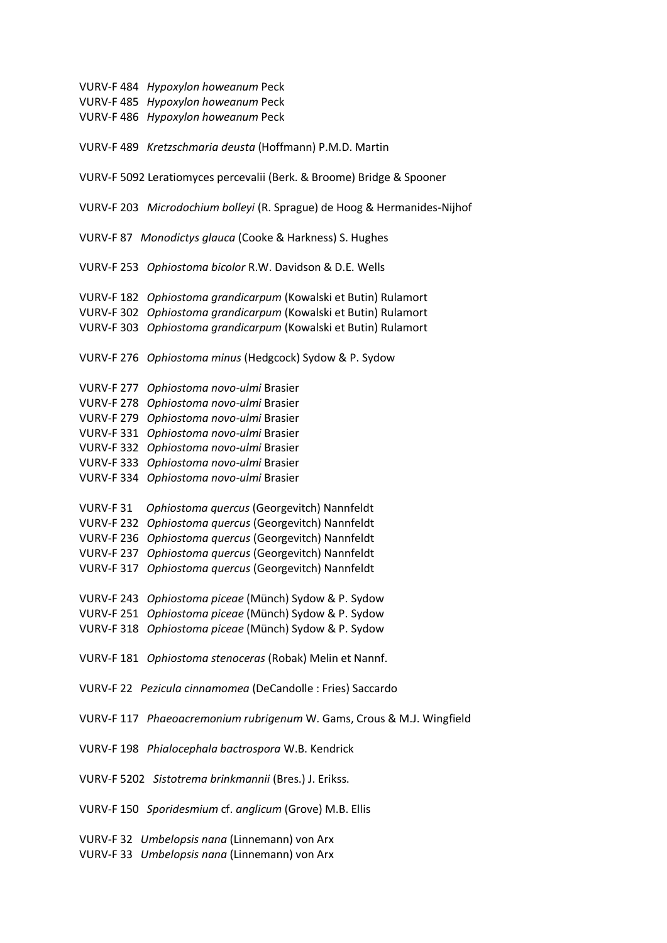VURV-F 484 *Hypoxylon howeanum* Peck VURV-F 485 *Hypoxylon howeanum* Peck VURV-F 486 *Hypoxylon howeanum* Peck VURV-F 489 *Kretzschmaria deusta* (Hoffmann) P.M.D. Martin VURV-F 5092 Leratiomyces percevalii (Berk. & Broome) Bridge & Spooner VURV-F 203 *Microdochium bolleyi* (R. Sprague) de Hoog & Hermanides-Nijhof VURV-F 87 *Monodictys glauca* (Cooke & Harkness) S. Hughes VURV-F 253 *Ophiostoma bicolor* R.W. Davidson & D.E. Wells VURV-F 182 *Ophiostoma grandicarpum* (Kowalski et Butin) Rulamort VURV-F 302 *Ophiostoma grandicarpum* (Kowalski et Butin) Rulamort VURV-F 303 *Ophiostoma grandicarpum* (Kowalski et Butin) Rulamort VURV-F 276 *Ophiostoma minus* (Hedgcock) Sydow & P. Sydow VURV-F 277 *Ophiostoma novo-ulmi* Brasier VURV-F 278 *Ophiostoma novo-ulmi* Brasier VURV-F 279 *Ophiostoma novo-ulmi* Brasier VURV-F 331 *Ophiostoma novo-ulmi* Brasier VURV-F 332 *Ophiostoma novo-ulmi* Brasier VURV-F 333 *Ophiostoma novo-ulmi* Brasier VURV-F 334 *Ophiostoma novo-ulmi* Brasier VURV-F 31 *Ophiostoma quercus* (Georgevitch) Nannfeldt VURV-F 232 *Ophiostoma quercus* (Georgevitch) Nannfeldt VURV-F 236 *Ophiostoma quercus* (Georgevitch) Nannfeldt VURV-F 237 *Ophiostoma quercus* (Georgevitch) Nannfeldt VURV-F 317 *Ophiostoma quercus* (Georgevitch) Nannfeldt VURV-F 243 *Ophiostoma piceae* (Münch) Sydow & P. Sydow VURV-F 251 *Ophiostoma piceae* (Münch) Sydow & P. Sydow VURV-F 318 *Ophiostoma piceae* (Münch) Sydow & P. Sydow VURV-F 181 *Ophiostoma stenoceras* (Robak) Melin et Nannf. VURV-F 22 *Pezicula cinnamomea* (DeCandolle : Fries) Saccardo VURV-F 117 *Phaeoacremonium rubrigenum* W. Gams, Crous & M.J. Wingfield VURV-F 198 *Phialocephala bactrospora* W.B. Kendrick VURV-F 5202 *Sistotrema brinkmannii* (Bres.) J. Erikss. VURV-F 150 *Sporidesmium* cf. *anglicum* (Grove) M.B. Ellis

VURV-F 32 *Umbelopsis nana* (Linnemann) von Arx VURV-F 33 *Umbelopsis nana* (Linnemann) von Arx